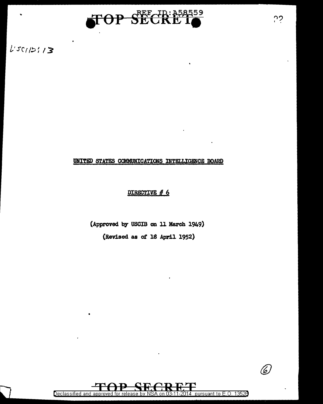

 $L'sc/121/3$ 

### UNITED STATES COMMUNICATIONS INTELLIGENCE BOARD

### DIRECTIVE  $# 6$

(Approved by USCIB on 11 March 1949) (Revised as ot 18 April 1952)



(6)